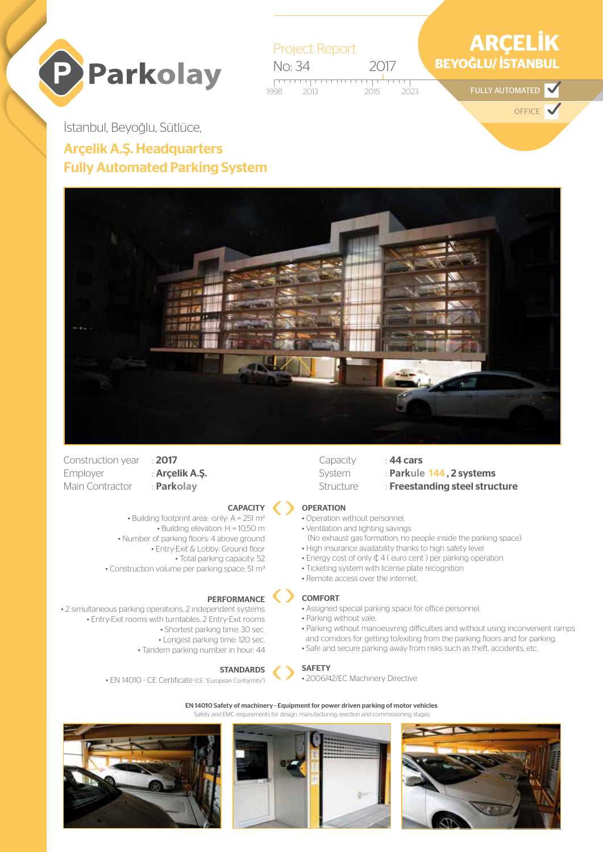



# İstanbul, Beyoğlu, Sütlüce, Arçelik A.Ş. Headquarters Fully Automated Parking System



- Construction year : 2017 Employer : **Arçelik A.Ş.** Main Contractor : **Parkolay**
	-



• Building footprint area: -only- A = 251 m2 • Building elevation: H = 10,50 m • Number of parking floors: 4 above ground • Entry-Exit & Lobby: Ground floor • Total parking capacity: 52 • Construction volume per parking space: 51 m3

#### PERFORMANCE

• 2 simultaneous parking operations, 2 independent systems • Entry-Exit rooms with turntables, 2 Entry-Exit rooms • Shortest parking time: 30 sec. • Longest parking time: 120 sec. • Tandem parking number in hour: 44



• EN 14010 - CE Certificate (CE: "European Conformity")

### Capacity : **44 cars**

- System : **Parkule 144, 2 systems**
- Structure : Freestanding steel structure

#### **OPERATION**

- Operation without personnel.
- Ventilation and lighting savings
- (No exhaust gas formation, no people inside the parking space) • High insurance availability thanks to high safety level
- Energy cost of only ¢ 4 ( euro cent ) per parking operation
- Ticketing system with license plate recognition
- Remote access over the internet.

#### COMFORT

- Assigned special parking space for office personnel.
- Parking without vale.
- Parking without manoeuvring difficulties and without using inconvenient ramps and corridors for getting to/exiting from the parking floors and for parking.
- Safe and secure parking away from risks such as theft, accidents, etc.

#### SAFETY

• 2006/42/EC Machinery Directive